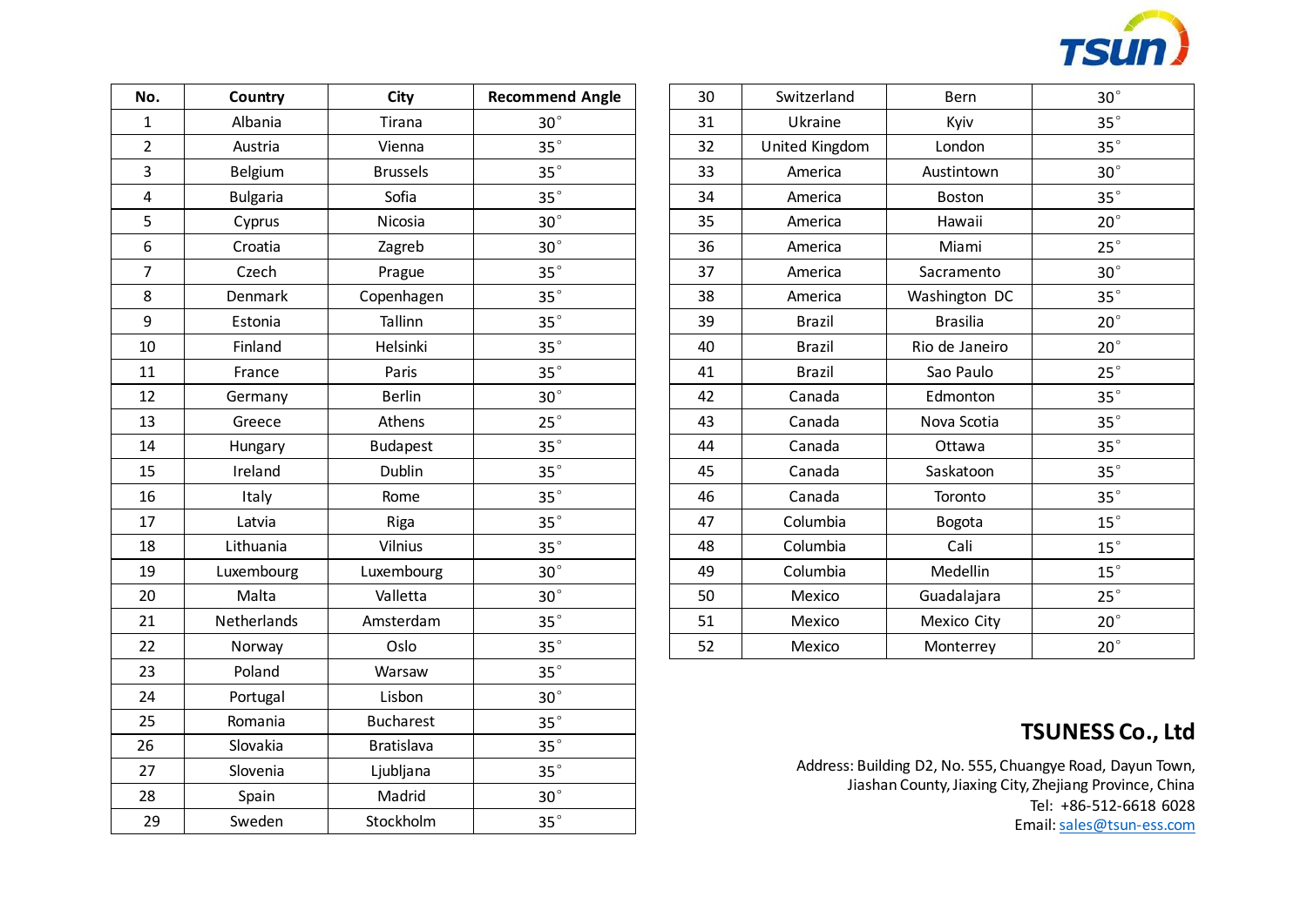

| No.            | Country         | City              | <b>Recommend Angle</b> |
|----------------|-----------------|-------------------|------------------------|
| $\mathbf{1}$   | Albania         | Tirana            | $30^{\circ}$           |
| $\overline{2}$ | Austria         | Vienna            | $35^{\circ}$           |
| $\overline{3}$ | Belgium         | <b>Brussels</b>   | $35^{\circ}$           |
| 4              | <b>Bulgaria</b> | Sofia             | $35^{\circ}$           |
| 5              | Cyprus          | Nicosia           | $30^{\circ}$           |
| 6              | Croatia         | Zagreb            | $30^{\circ}$           |
| $\overline{7}$ | Czech           | Prague            | $35^{\circ}$           |
| 8              | Denmark         | Copenhagen        | $35^{\circ}$           |
| 9              | Estonia         | Tallinn           | $35^{\circ}$           |
| 10             | Finland         | Helsinki          | $35^{\circ}$           |
| 11             | France          | Paris             | $35^{\circ}$           |
| 12             | Germany         | <b>Berlin</b>     | $30^{\circ}$           |
| 13             | Greece          | Athens            | $25^{\circ}$           |
| 14             | Hungary         | <b>Budapest</b>   | $35^{\circ}$           |
| 15             | Ireland         | Dublin            | $35^{\circ}$           |
| 16             | Italy           | Rome              | $35^{\circ}$           |
| 17             | Latvia          | Riga              | $35^{\circ}$           |
| 18             | Lithuania       | Vilnius           | $35^{\circ}$           |
| 19             | Luxembourg      | Luxembourg        | $30^{\circ}$           |
| 20             | Malta           | Valletta          | $30^{\circ}$           |
| 21             | Netherlands     | Amsterdam         | $35^{\circ}$           |
| 22             | Norway          | Oslo              | $35^{\circ}$           |
| 23             | Poland          | Warsaw            | $35^{\circ}$           |
| 24             | Portugal        | Lisbon            | $30^{\circ}$           |
| 25             | Romania         | <b>Bucharest</b>  | $35^{\circ}$           |
| 26             | Slovakia        | <b>Bratislava</b> | $35^{\circ}$           |
| 27             | Slovenia        | Ljubljana         | $35^{\circ}$           |
| 28             | Spain           | Madrid            | $30^{\circ}$           |
| 29             | Sweden          | Stockholm         | $35^\circ$             |

| 30 | Switzerland    | Bern            | $30^{\circ}$ |
|----|----------------|-----------------|--------------|
| 31 | Ukraine        | Kyiv            | $35^\circ$   |
| 32 | United Kingdom | London          | $35^{\circ}$ |
| 33 | America        | Austintown      | $30^\circ$   |
| 34 | America        | <b>Boston</b>   | $35^{\circ}$ |
| 35 | America        | Hawaii          | $20^{\circ}$ |
| 36 | America        | Miami           | $25^{\circ}$ |
| 37 | America        | Sacramento      | $30^\circ$   |
| 38 | America        | Washington DC   | $35^{\circ}$ |
| 39 | <b>Brazil</b>  | <b>Brasilia</b> | $20^{\circ}$ |
| 40 | <b>Brazil</b>  | Rio de Janeiro  | $20^{\circ}$ |
| 41 | <b>Brazil</b>  | Sao Paulo       | $25^{\circ}$ |
| 42 | Canada         | Edmonton        | $35^{\circ}$ |
| 43 | Canada         | Nova Scotia     | $35^{\circ}$ |
| 44 | Canada         | Ottawa          | $35^\circ$   |
| 45 | Canada         | Saskatoon       | $35^{\circ}$ |
| 46 | Canada         | Toronto         | $35^{\circ}$ |
| 47 | Columbia       | <b>Bogota</b>   | $15^{\circ}$ |
| 48 | Columbia       | Cali            | $15^{\circ}$ |
| 49 | Columbia       | Medellin        | $15^{\circ}$ |
| 50 | Mexico         | Guadalajara     | $25^{\circ}$ |
| 51 | Mexico         | Mexico City     | $20^{\circ}$ |
| 52 | Mexico         | Monterrey       | $20^{\circ}$ |

## **TSUNESS Co., Ltd**

Address: Building D2, No. 555, Chuangye Road, Dayun Town, Jiashan County, Jiaxing City, Zhejiang Province, China Tel: +86-512-6618 6028 Email: [sales@tsun-ess.com](mailto:sales@tsun-ess.com)